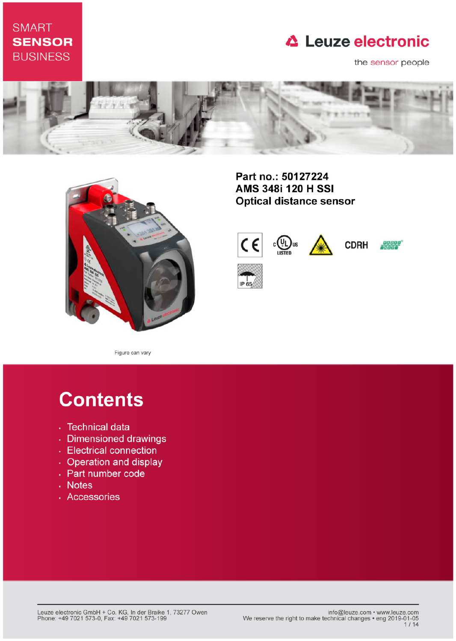## **SMART SENSOR BUSINESS**

## **△ Leuze electronic**

the sensor people





Part no.: 50127224 AMS 348i 120 H SSI **Optical distance sensor** 



Figure can vary

# **Contents**

- · Technical data
- · Dimensioned drawings
- Electrical connection
- Operation and display
- Part number code
- . Notes
- · Accessories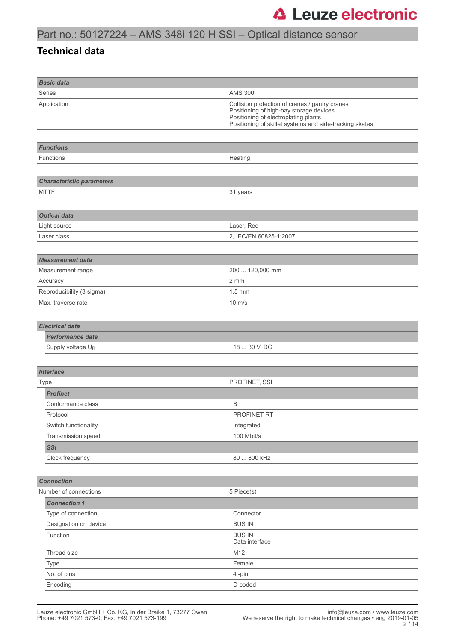### **Technical data**

| <b>Basic data</b>                      |                                                                                                                                                                                              |
|----------------------------------------|----------------------------------------------------------------------------------------------------------------------------------------------------------------------------------------------|
| <b>Series</b>                          | <b>AMS 300i</b>                                                                                                                                                                              |
| Application                            | Collision protection of cranes / gantry cranes<br>Positioning of high-bay storage devices<br>Positioning of electroplating plants<br>Positioning of skillet systems and side-tracking skates |
|                                        |                                                                                                                                                                                              |
| <b>Functions</b>                       |                                                                                                                                                                                              |
| Functions                              | Heating                                                                                                                                                                                      |
|                                        |                                                                                                                                                                                              |
| <b>Characteristic parameters</b>       |                                                                                                                                                                                              |
| <b>MTTF</b>                            | 31 years                                                                                                                                                                                     |
|                                        |                                                                                                                                                                                              |
| <b>Optical data</b>                    |                                                                                                                                                                                              |
| Light source                           | Laser, Red                                                                                                                                                                                   |
| Laser class                            | 2, IEC/EN 60825-1:2007                                                                                                                                                                       |
|                                        |                                                                                                                                                                                              |
| <b>Measurement data</b>                |                                                                                                                                                                                              |
| Measurement range                      | 200  120,000 mm                                                                                                                                                                              |
| Accuracy                               | 2 mm                                                                                                                                                                                         |
| Reproducibility (3 sigma)              | $1.5 \text{ mm}$                                                                                                                                                                             |
| Max. traverse rate                     | $10 \text{ m/s}$                                                                                                                                                                             |
|                                        |                                                                                                                                                                                              |
| <b>Electrical data</b>                 |                                                                                                                                                                                              |
| <b>Performance data</b>                |                                                                                                                                                                                              |
| Supply voltage U <sub>B</sub>          | 18  30 V, DC                                                                                                                                                                                 |
|                                        |                                                                                                                                                                                              |
| <b>Interface</b>                       |                                                                                                                                                                                              |
| Type                                   | PROFINET, SSI                                                                                                                                                                                |
| <b>Profinet</b>                        |                                                                                                                                                                                              |
| Conformance class                      | Β                                                                                                                                                                                            |
| Protocol                               | PROFINET RT                                                                                                                                                                                  |
| Switch functionality                   | Integrated                                                                                                                                                                                   |
| Transmission speed                     | 100 Mbit/s                                                                                                                                                                                   |
| <b>SSI</b>                             |                                                                                                                                                                                              |
| Clock frequency                        | 80  800 kHz                                                                                                                                                                                  |
|                                        |                                                                                                                                                                                              |
| <b>Connection</b>                      |                                                                                                                                                                                              |
| Number of connections                  | 5 Piece(s)                                                                                                                                                                                   |
| <b>Connection 1</b>                    |                                                                                                                                                                                              |
| Type of connection                     | Connector                                                                                                                                                                                    |
| Designation on device<br><b>BUS IN</b> |                                                                                                                                                                                              |
| Function                               | <b>BUS IN</b><br>Data interface                                                                                                                                                              |
| Thread size                            | M12                                                                                                                                                                                          |
| Type                                   | Female                                                                                                                                                                                       |
| No. of pins                            | 4-pin                                                                                                                                                                                        |
| Encoding                               | D-coded                                                                                                                                                                                      |
|                                        |                                                                                                                                                                                              |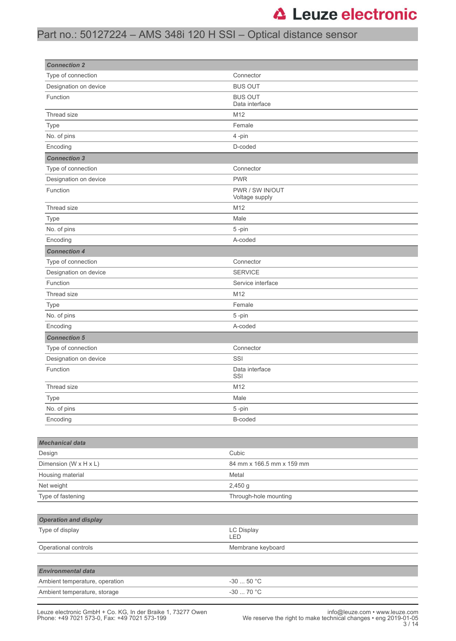## Part no.: 50127224 – AMS 348i 120 H SSI – Optical distance sensor

| <b>Connection 2</b>                                         |                                   |
|-------------------------------------------------------------|-----------------------------------|
| Type of connection                                          | Connector                         |
| Designation on device                                       | <b>BUS OUT</b>                    |
| Function                                                    | <b>BUS OUT</b><br>Data interface  |
| Thread size                                                 | M12                               |
| Type                                                        | Female                            |
| No. of pins                                                 | 4-pin                             |
| Encoding                                                    | D-coded                           |
| <b>Connection 3</b>                                         |                                   |
| Type of connection                                          | Connector                         |
| Designation on device                                       | <b>PWR</b>                        |
| Function                                                    | PWR / SW IN/OUT<br>Voltage supply |
| Thread size                                                 | M12                               |
| Type                                                        | Male                              |
| No. of pins                                                 | 5-pin                             |
| Encoding                                                    | A-coded                           |
| <b>Connection 4</b>                                         |                                   |
| Type of connection                                          | Connector                         |
| Designation on device                                       | <b>SERVICE</b>                    |
| Function                                                    | Service interface                 |
| Thread size                                                 | M12                               |
| Type                                                        | Female                            |
| No. of pins                                                 | 5-pin                             |
| Encoding                                                    | A-coded                           |
| <b>Connection 5</b>                                         |                                   |
| Type of connection                                          | Connector                         |
| Designation on device                                       | SSI                               |
| Function                                                    | Data interface<br>SSI             |
| Thread size                                                 | M12                               |
| Type                                                        | Male                              |
| No. of pins                                                 | 5-pin                             |
| Encoding                                                    | B-coded                           |
|                                                             |                                   |
| <b>Mechanical data</b>                                      |                                   |
| Design                                                      | Cubic                             |
| Dimension (W x H x L)                                       | 84 mm x 166.5 mm x 159 mm         |
| Housing material                                            | Metal                             |
| Net weight                                                  | 2,450 g                           |
| Type of fastening                                           | Through-hole mounting             |
|                                                             |                                   |
| <b>Operation and display</b><br>Type of display             | LC Display                        |
|                                                             | LED                               |
| Operational controls                                        | Membrane keyboard                 |
|                                                             |                                   |
| <b>Environmental data</b><br>Ambient temperature, operation | $-30$ 50 °C                       |
|                                                             | $-30$ 70 °C                       |
| Ambient temperature, storage                                |                                   |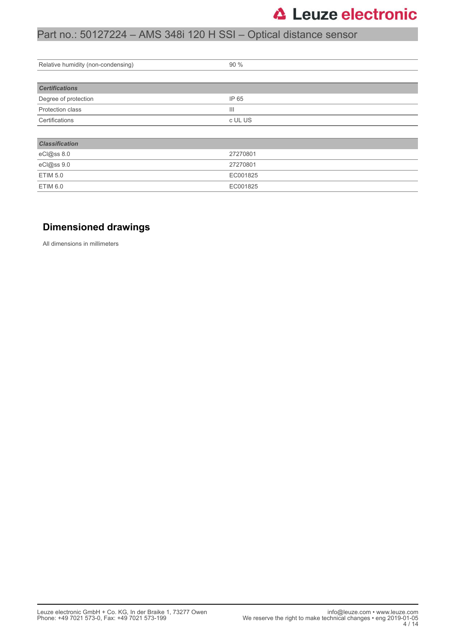## Part no.: 50127224 – AMS 348i 120 H SSI – Optical distance sensor

| Relative humidity (non-condensing) | 90 %                        |  |
|------------------------------------|-----------------------------|--|
|                                    |                             |  |
| <b>Certifications</b>              |                             |  |
| Degree of protection               | IP 65                       |  |
| Protection class                   | $\mathop{\rm III}\nolimits$ |  |
| Certifications                     | c UL US                     |  |
|                                    |                             |  |
| <b>Classification</b>              |                             |  |
| eCl@ss 8.0                         | 27270801                    |  |
| eCl@ss 9.0                         | 27270801                    |  |
| <b>ETIM 5.0</b>                    | EC001825                    |  |
| ETIM 6.0                           | EC001825                    |  |

### **Dimensioned drawings**

All dimensions in millimeters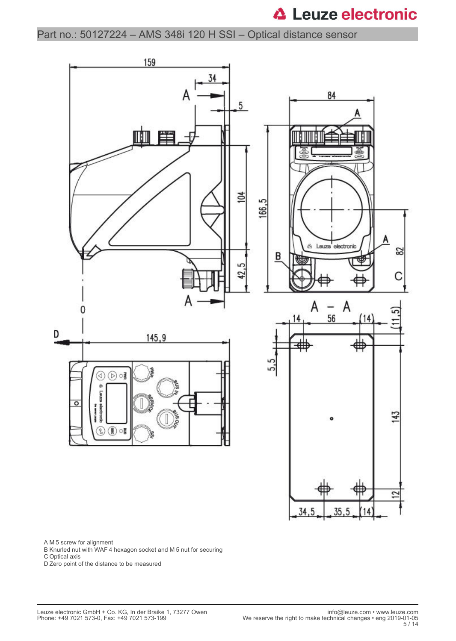Part no.: 50127224 – AMS 348i 120 H SSI – Optical distance sensor



A M 5 screw for alignment

B Knurled nut with WAF 4 hexagon socket and M 5 nut for securing

C Optical axis

D Zero point of the distance to be measured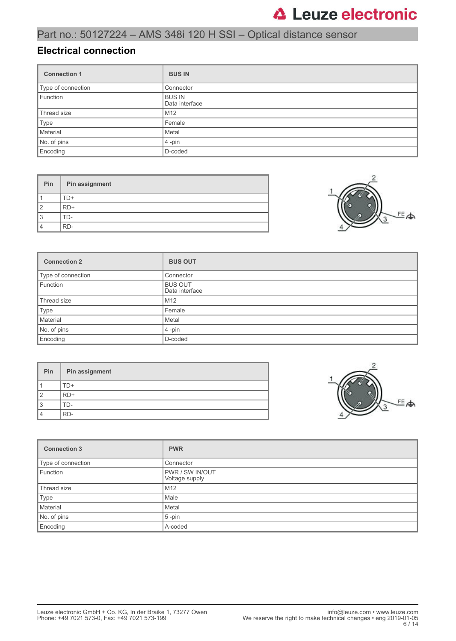## Part no.: 50127224 – AMS 348i 120 H SSI – Optical distance sensor

### **Electrical connection**

| <b>Connection 1</b> | <b>BUS IN</b>                   |
|---------------------|---------------------------------|
| Type of connection  | Connector                       |
| Function            | <b>BUS IN</b><br>Data interface |
| Thread size         | M <sub>12</sub>                 |
| Type                | Female                          |
| Material            | Metal                           |
| No. of pins         | $4$ -pin                        |
| Encoding            | D-coded                         |

| Pin            | Pin assignment |
|----------------|----------------|
|                | FD+            |
| $\mathcal{P}$  | RD+            |
| 3              | l I ) –        |
| $\overline{4}$ | RD-            |



| <b>Connection 2</b> | <b>BUS OUT</b>                   |
|---------------------|----------------------------------|
| Type of connection  | Connector                        |
| Function            | <b>BUS OUT</b><br>Data interface |
| Thread size         | M12                              |
| Type                | Female                           |
| Material            | Metal                            |
| No. of pins         | $4$ -pin                         |
| Encoding            | D-coded                          |

| Pin | Pin assignment |
|-----|----------------|
|     | ΓD+            |
| 2   | $RD+$          |
| 3   | TD-            |
| 4   | RD-            |



| <b>Connection 3</b> | <b>PWR</b>                               |
|---------------------|------------------------------------------|
| Type of connection  | Connector                                |
| Function            | <b>PWR / SW IN/OUT</b><br>Voltage supply |
| Thread size         | M <sub>12</sub>                          |
| Type                | Male                                     |
| Material            | Metal                                    |
| No. of pins         | $5$ -pin                                 |
| Encoding            | A-coded                                  |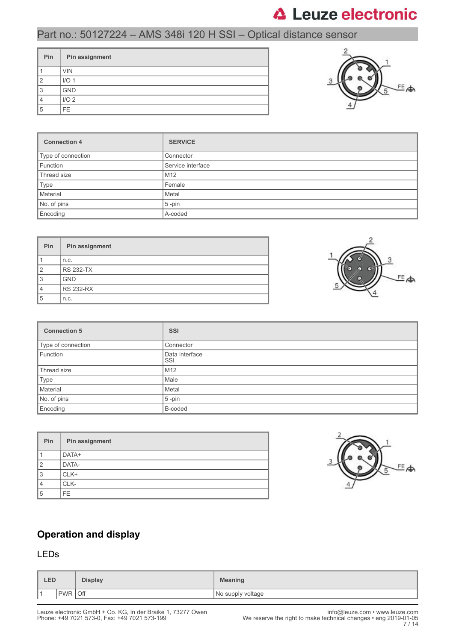### Part no.: 50127224 – AMS 348i 120 H SSI – Optical distance sensor

| Pin | Pin assignment   |
|-----|------------------|
|     | <b>VIN</b>       |
| 2   | I/O <sub>1</sub> |
| 3   | <b>GND</b>       |
|     | I/O <sub>2</sub> |
| 5   | FE.              |



| <b>Connection 4</b> | <b>SERVICE</b>    |
|---------------------|-------------------|
| Type of connection  | Connector         |
| Function            | Service interface |
| Thread size         | M <sub>12</sub>   |
| Type                | Female            |
| Material            | Metal             |
| No. of pins         | $5$ -pin          |
| Encoding            | A-coded           |

| <b>Pin</b>     | Pin assignment   |
|----------------|------------------|
|                | n.c.             |
| $\overline{2}$ | <b>RS 232-TX</b> |
| 3              | <b>GND</b>       |
| 4              | <b>RS 232-RX</b> |
| 5              | n.c.             |



| <b>Connection 5</b> | <b>SSI</b>            |
|---------------------|-----------------------|
| Type of connection  | Connector             |
| Function            | Data interface<br>SSI |
| Thread size         | M12                   |
| Type                | Male                  |
| Material            | Metal                 |
| No. of pins         | $5 - pin$             |
| Encoding            | B-coded               |

| Pin            | Pin assignment |
|----------------|----------------|
|                | DATA+          |
| $\overline{2}$ | DATA-          |
| 3              | CLK+           |
| 4              | CLK-           |
| 5              | FE.            |



### **Operation and display**

### LEDs

| <b>LED</b> |                   | <b>Display</b> | <b>Meaning</b>    |
|------------|-------------------|----------------|-------------------|
| ∎ ⊣        | Off<br><b>PWR</b> |                | No supply voltage |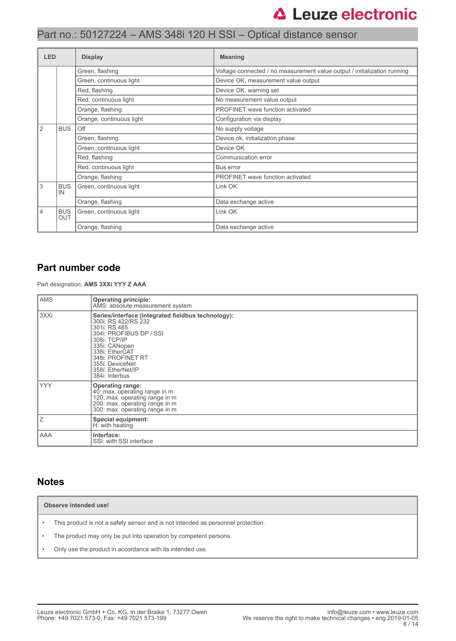| <b>LED</b> |                                                     | <b>Display</b>           | <b>Meaning</b>                                                           |  |
|------------|-----------------------------------------------------|--------------------------|--------------------------------------------------------------------------|--|
|            |                                                     | Green, flashing          | Voltage connected / no measurement value output / initialization running |  |
|            |                                                     | Green, continuous light  | Device OK, measurement value output                                      |  |
|            |                                                     | Red, flashing            | Device OK, warning set                                                   |  |
|            |                                                     | Red, continuous light    | No measurement value output                                              |  |
|            |                                                     | Orange, flashing         | <b>PROFINET</b> wave function activated                                  |  |
|            |                                                     | Orange, continuous light | Configuration via display                                                |  |
| 2          | <b>BUS</b>                                          | Off                      | No supply voltage                                                        |  |
|            |                                                     | Green, flashing          | Device ok, initialization phase                                          |  |
|            |                                                     | Green, continuous light  | Device OK                                                                |  |
|            |                                                     | Red, flashing            | Communication error                                                      |  |
|            |                                                     | Red, continuous light    | Bus error                                                                |  |
|            |                                                     | Orange, flashing         | PROFINET wave function activated                                         |  |
| 3          | <b>BUS</b><br>IN                                    | Green, continuous light  | Link OK                                                                  |  |
|            |                                                     | Orange, flashing         | Data exchange active                                                     |  |
| 4          | <b>BUS</b><br>Green, continuous light<br><b>OUT</b> |                          | Link OK                                                                  |  |
|            |                                                     | Orange, flashing         | Data exchange active                                                     |  |

### **Part number code**

Part designation: **AMS 3XXi YYY Z AAA**

| <b>AMS</b> | <b>Operating principle:</b><br>AMS: absolute measurement system                                                                                                                                                                                        |
|------------|--------------------------------------------------------------------------------------------------------------------------------------------------------------------------------------------------------------------------------------------------------|
| 3XXi       | Series/interface (integrated fieldbus technology):<br>300i: RS 422/RS 232<br>301i: RS 485<br>304i: PROFIBUS DP / SSI<br>308i: TCP/IP<br>335i: CANopen<br>338i: EtherCAT<br>348i: PROFINET RT<br>355i: DeviceNet<br>358i: EtherNet/IP<br>384i: Interbus |
| <b>YYY</b> | <b>Operating range:</b><br>40: max. operating range in m<br>120: max. operating range in m<br>200: max. operating range in m<br>300: max. operating range in m                                                                                         |
| Ιz         | <b>Special equipment:</b><br>H: with heating                                                                                                                                                                                                           |
| AAA        | Interface:<br>SSI: with SSI interface                                                                                                                                                                                                                  |

### **Notes**

**Observe intended use!**

- This product is not a safety sensor and is not intended as personnel protection.
- The product may only be put into operation by competent persons.
- Only use the product in accordance with its intended use.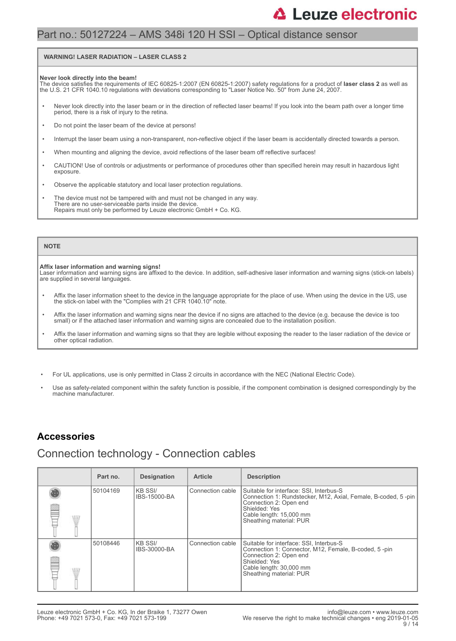## Part no.: 50127224 – AMS 348i 120 H SSI – Optical distance sensor

#### **WARNING! LASER RADIATION – LASER CLASS 2**

#### **Never look directly into the beam!**

The device satisfies the requirements of IEC 60825-1:2007 (EN 60825-1:2007) safety regulations for a product of **laser class 2** as well as<br>the U.S. 21 CFR 1040.10 regulations with deviations corresponding to "Laser Notice

- Never look directly into the laser beam or in the direction of reflected laser beams! If you look into the beam path over a longer time period, there is a risk of injury to the retina.
- Do not point the laser beam of the device at persons!
- Interrupt the laser beam using a non-transparent, non-reflective object if the laser beam is accidentally directed towards a person.
- When mounting and aligning the device, avoid reflections of the laser beam off reflective surfaces!
- CAUTION! Use of controls or adjustments or performance of procedures other than specified herein may result in hazardous light exposure.
- Observe the applicable statutory and local laser protection regulations.
- The device must not be tampered with and must not be changed in any way. There are no user-serviceable parts inside the device. Repairs must only be performed by Leuze electronic GmbH + Co. KG.

#### **NOTE**

#### **Affix laser information and warning signs!**

Laser information and warning signs are affixed to the device. In addition, self-adhesive laser information and warning signs (stick-on labels) are supplied in several languages.

- Affix the laser information sheet to the device in the language appropriate for the place of use. When using the device in the US, use the stick-on label with the "Complies with 21 CFR 1040.10" note.
- Affix the laser information and warning signs near the device if no signs are attached to the device (e.g. because the device is too small) or if the attached laser information and warning signs are concealed due to the installation position.
- Affix the laser information and warning signs so that they are legible without exposing the reader to the laser radiation of the device or other optical radiation.
- For UL applications, use is only permitted in Class 2 circuits in accordance with the NEC (National Electric Code).
- Use as safety-related component within the safety function is possible, if the component combination is designed correspondingly by the machine manufacturer.

### **Accessories**

### Connection technology - Connection cables

| Part no. | <b>Designation</b>       | <b>Article</b>   | <b>Description</b>                                                                                                                                                                                        |
|----------|--------------------------|------------------|-----------------------------------------------------------------------------------------------------------------------------------------------------------------------------------------------------------|
| 50104169 | IKB SSI/<br>IBS-15000-BA | Connection cable | Suitable for interface: SSI, Interbus-S<br>Connection 1: Rundstecker, M12, Axial, Female, B-coded, 5-pin<br>Connection 2: Open end<br>Shielded: Yes<br>Cable length: 15,000 mm<br>Sheathing material: PUR |
| 50108446 | IKB SSI/<br>IBS-30000-BA | Connection cable | Suitable for interface: SSI, Interbus-S<br>Connection 1: Connector, M12, Female, B-coded, 5-pin<br>Connection 2: Open end<br>Shielded: Yes<br>Cable length: 30,000 mm<br>Sheathing material: PUR          |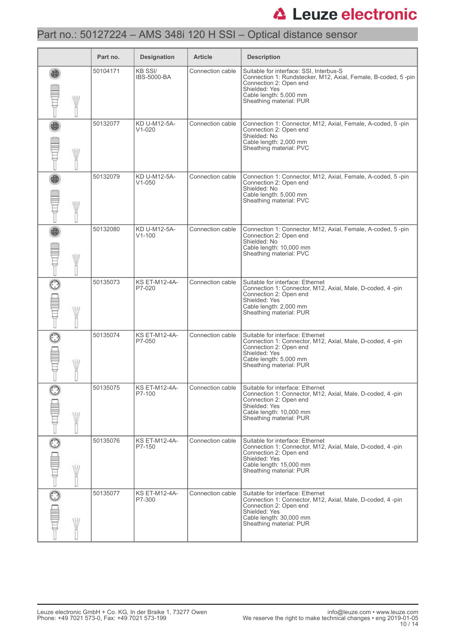## Part no.: 50127224 – AMS 348i 120 H SSI – Optical distance sensor

|              | Part no. | <b>Designation</b>                   | <b>Article</b>   | <b>Description</b>                                                                                                                                                                                       |
|--------------|----------|--------------------------------------|------------------|----------------------------------------------------------------------------------------------------------------------------------------------------------------------------------------------------------|
| WII          | 50104171 | <b>KB SSI/</b><br><b>IBS-5000-BA</b> | Connection cable | Suitable for interface: SSI, Interbus-S<br>Connection 1: Rundstecker, M12, Axial, Female, B-coded, 5-pin<br>Connection 2: Open end<br>Shielded: Yes<br>Cable length: 5,000 mm<br>Sheathing material: PUR |
| W            | 50132077 | KD U-M12-5A-<br>$V1 - 020$           | Connection cable | Connection 1: Connector, M12, Axial, Female, A-coded, 5-pin<br>Connection 2: Open end<br>Shielded: No<br>Cable length: 2,000 mm<br>Sheathing material: PVC                                               |
| W            | 50132079 | KD U-M12-5A-<br>$V1 - 050$           | Connection cable | Connection 1: Connector, M12, Axial, Female, A-coded, 5-pin<br>Connection 2: Open end<br>Shielded: No<br>Cable length: 5,000 mm<br>Sheathing material: PVC                                               |
| W            | 50132080 | KD U-M12-5A-<br>$V1 - 100$           | Connection cable | Connection 1: Connector, M12, Axial, Female, A-coded, 5-pin<br>Connection 2: Open end<br>Shielded: No<br>Cable length: 10,000 mm<br>Sheathing material: PVC                                              |
| W            | 50135073 | <b>KS ET-M12-4A-</b><br>P7-020       | Connection cable | Suitable for interface: Ethernet<br>Connection 1: Connector, M12, Axial, Male, D-coded, 4 -pin<br>Connection 2: Open end<br>Shielded: Yes<br>Cable length: 2,000 mm<br>Sheathing material: PUR           |
| W            | 50135074 | <b>KS ET-M12-4A-</b><br>P7-050       | Connection cable | Suitable for interface: Ethernet<br>Connection 1: Connector, M12, Axial, Male, D-coded, 4-pin<br>Connection 2: Open end<br>Shielded: Yes<br>Cable length: 5,000 mm<br>Sheathing material: PUR            |
| W            | 50135075 | <b>KS ET-M12-4A-</b><br>P7-100       | Connection cable | Suitable for interface: Ethernet<br>Connection 1: Connector, M12, Axial, Male, D-coded, 4-pin<br>Connection 2: Open end<br>Shielded: Yes<br>Cable length: 10,000 mm<br>Sheathing material: PUR           |
| 0<br>MI      | 50135076 | <b>KS ET-M12-4A-</b><br>P7-150       | Connection cable | Suitable for interface: Ethernet<br>Connection 1: Connector, M12, Axial, Male, D-coded, 4-pin<br>Connection 2: Open end<br>Shielded: Yes<br>Cable length: 15,000 mm<br>Sheathing material: PUR           |
| $\odot$<br>W | 50135077 | <b>KS ET-M12-4A-</b><br>P7-300       | Connection cable | Suitable for interface: Ethernet<br>Connection 1: Connector, M12, Axial, Male, D-coded, 4-pin<br>Connection 2: Open end<br>Shielded: Yes<br>Cable length: 30,000 mm<br>Sheathing material: PUR           |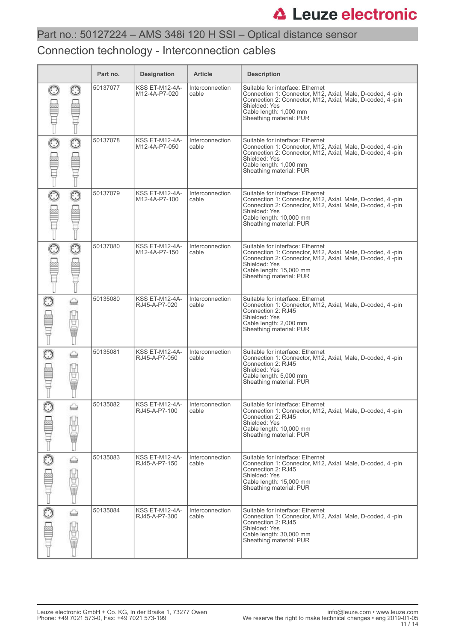### Connection technology - Interconnection cables

|   |                 | Part no. | <b>Designation</b>                     | <b>Article</b>           | <b>Description</b>                                                                                                                                                                                                                 |
|---|-----------------|----------|----------------------------------------|--------------------------|------------------------------------------------------------------------------------------------------------------------------------------------------------------------------------------------------------------------------------|
|   |                 | 50137077 | <b>KSS ET-M12-4A-</b><br>M12-4A-P7-020 | Interconnection<br>cable | Suitable for interface: Ethernet<br>Connection 1: Connector, M12, Axial, Male, D-coded, 4 -pin<br>Connection 2: Connector, M12, Axial, Male, D-coded, 4 -pin<br>Shielded: Yes<br>Cable length: 1,000 mm<br>Sheathing material: PUR |
| ි | $_{\odot}$      | 50137078 | KSS ET-M12-4A-<br>M12-4A-P7-050        | Interconnection<br>cable | Suitable for interface: Ethernet<br>Connection 1: Connector, M12, Axial, Male, D-coded, 4 -pin<br>Connection 2: Connector, M12, Axial, Male, D-coded, 4 -pin<br>Shielded: Yes<br>Cable length: 1,000 mm<br>Sheathing material: PUR |
|   |                 | 50137079 | <b>KSS ET-M12-4A-</b><br>M12-4A-P7-100 | Interconnection<br>cable | Suitable for interface: Ethernet<br>Connection 1: Connector, M12, Axial, Male, D-coded, 4 -pin<br>Connection 2: Connector, M12, Axial, Male, D-coded, 4-pin<br>Shielded: Yes<br>Cable length: 10,000 mm<br>Sheathing material: PUR |
| O | $\odot$         | 50137080 | KSS ET-M12-4A-<br>M12-4A-P7-150        | Interconnection<br>cable | Suitable for interface: Ethernet<br>Connection 1: Connector, M12, Axial, Male, D-coded, 4 -pin<br>Connection 2: Connector, M12, Axial, Male, D-coded, 4-pin<br>Shielded: Yes<br>Cable length: 15,000 mm<br>Sheathing material: PUR |
| ි | ⇔<br>Ë          | 50135080 | <b>KSS ET-M12-4A-</b><br>RJ45-A-P7-020 | Interconnection<br>cable | Suitable for interface: Ethernet<br>Connection 1: Connector, M12, Axial, Male, D-coded, 4 -pin<br>Connection 2: RJ45<br>Shielded: Yes<br>Cable length: 2,000 mm<br>Sheathing material: PUR                                         |
|   | ⇔<br>Ë<br>黽     | 50135081 | <b>KSS ET-M12-4A-</b><br>RJ45-A-P7-050 | Interconnection<br>cable | Suitable for interface: Ethernet<br>Connection 1: Connector, M12, Axial, Male, D-coded, 4-pin<br>Connection 2: RJ45<br>Shielded: Yes<br>Cable length: 5,000 mm<br>Sheathing material: PUR                                          |
|   | tund.<br>Ë<br>Ū | 50135082 | KSS ET-M12-4A-<br>RJ45-A-P7-100        | Interconnection<br>cable | Suitable for interface: Ethernet<br>Connection 1: Connector, M12, Axial, Male, D-coded, 4-pin<br>Connection 2: RJ45<br>Shielded: Yes<br>Cable length: 10,000 mm<br>Sheathing material: PUR                                         |
| C | ⇔<br>Ë          | 50135083 | <b>KSS ET-M12-4A-</b><br>RJ45-A-P7-150 | Interconnection<br>cable | Suitable for interface: Ethernet<br>Connection 1: Connector, M12, Axial, Male, D-coded, 4-pin<br>Connection 2: RJ45<br>Shielded: Yes<br>Cable length: 15,000 mm<br>Sheathing material: PUR                                         |
|   | ⇔<br>Ü<br>Œ     | 50135084 | KSS ET-M12-4A-<br>RJ45-A-P7-300        | Interconnection<br>cable | Suitable for interface: Ethernet<br>Connection 1: Connector, M12, Axial, Male, D-coded, 4-pin<br>Connection 2: RJ45<br>Shielded: Yes<br>Cable length: 30,000 mm<br>Sheathing material: PUR                                         |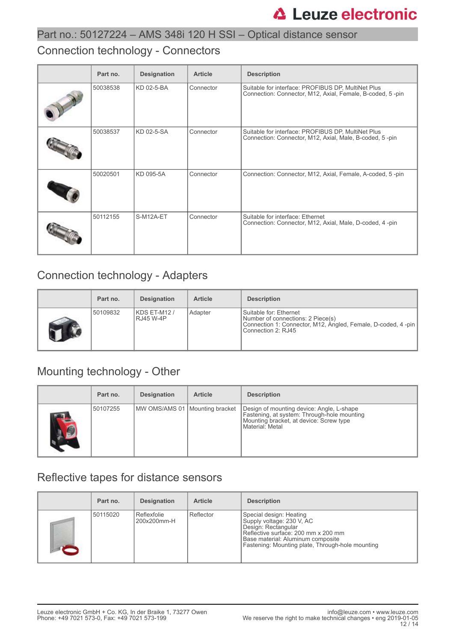### Connection technology - Connectors

| Part no. | <b>Designation</b> | <b>Article</b> | <b>Description</b>                                                                                              |
|----------|--------------------|----------------|-----------------------------------------------------------------------------------------------------------------|
| 50038538 | KD 02-5-BA         | Connector      | Suitable for interface: PROFIBUS DP, MultiNet Plus<br>Connection: Connector, M12, Axial, Female, B-coded, 5-pin |
| 50038537 | KD 02-5-SA         | Connector      | Suitable for interface: PROFIBUS DP, MultiNet Plus<br>Connection: Connector, M12, Axial, Male, B-coded, 5-pin   |
| 50020501 | KD 095-5A          | Connector      | Connection: Connector, M12, Axial, Female, A-coded, 5-pin                                                       |
| 50112155 | S-M12A-ET          | Connector      | Suitable for interface: Ethernet<br>Connection: Connector, M12, Axial, Male, D-coded, 4-pin                     |

### Connection technology - Adapters

| Part no. | <b>Designation</b>              | <b>Article</b> | <b>Description</b>                                                                                                                                 |
|----------|---------------------------------|----------------|----------------------------------------------------------------------------------------------------------------------------------------------------|
| 50109832 | KDS ET-M12/<br><b>RJ45 W-4P</b> | Adapter        | Suitable for: Ethernet<br>Number of connections: 2 Piece(s)<br>Connection 1: Connector, M12, Angled, Female, D-coded, 4 -pin<br>Connection 2: RJ45 |

## Mounting technology - Other

|            | Part no. | <b>Designation</b>               | <b>Article</b> | <b>Description</b>                                                                                                                                     |
|------------|----------|----------------------------------|----------------|--------------------------------------------------------------------------------------------------------------------------------------------------------|
| <b>ALC</b> | 50107255 | MW OMS/AMS 01   Mounting bracket |                | Design of mounting device: Angle, L-shape<br>Fastening, at system: Through-hole mounting<br>Mounting bracket, at device: Screw type<br>Material: Metal |

### Reflective tapes for distance sensors

| Part no. | <b>Designation</b>         | <b>Article</b> | <b>Description</b>                                                                                                                                                                                          |
|----------|----------------------------|----------------|-------------------------------------------------------------------------------------------------------------------------------------------------------------------------------------------------------------|
| 50115020 | Reflexfolie<br>200x200mm-H | Reflector      | Special design: Heating<br>Supply voltage: 230 V, AC<br>Design: Rectangular<br>Reflective surface: 200 mm x 200 mm<br>Base material: Aluminum composite<br>Fastening: Mounting plate, Through-hole mounting |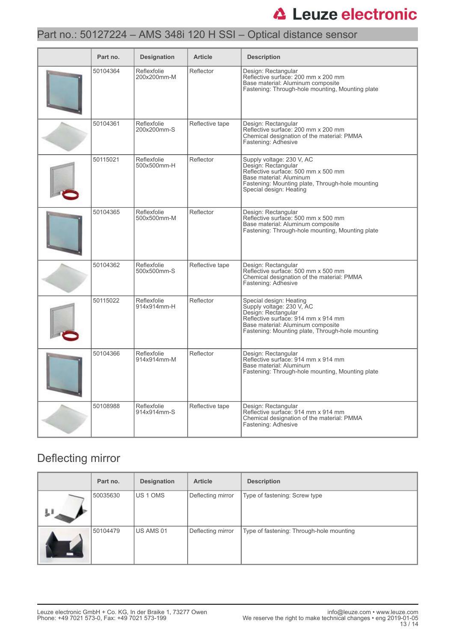## Part no.: 50127224 – AMS 348i 120 H SSI – Optical distance sensor

| Part no. | <b>Designation</b>         | <b>Article</b>  | <b>Description</b>                                                                                                                                                                                          |
|----------|----------------------------|-----------------|-------------------------------------------------------------------------------------------------------------------------------------------------------------------------------------------------------------|
| 50104364 | Reflexfolie<br>200x200mm-M | Reflector       | Design: Rectangular<br>Reflective surface: 200 mm x 200 mm<br>Base material: Aluminum composite<br>Fastening: Through-hole mounting, Mounting plate                                                         |
| 50104361 | Reflexfolie<br>200x200mm-S | Reflective tape | Design: Rectangular<br>Reflective surface: 200 mm x 200 mm<br>Chemical designation of the material: PMMA<br>Fastening: Adhesive                                                                             |
| 50115021 | Reflexfolie<br>500x500mm-H | Reflector       | Supply voltage: 230 V, AC<br>Design: Rectangular<br>Reflective surface: 500 mm x 500 mm<br>Base material: Aluminum<br>Fastening: Mounting plate, Through-hole mounting<br>Special design: Heating           |
| 50104365 | Reflexfolie<br>500x500mm-M | Reflector       | Design: Rectangular<br>Reflective surface: 500 mm x 500 mm<br>Base material: Aluminum composite<br>Fastening: Through-hole mounting, Mounting plate                                                         |
| 50104362 | Reflexfolie<br>500x500mm-S | Reflective tape | Design: Rectangular<br>Reflective surface: 500 mm x 500 mm<br>Chemical designation of the material: PMMA<br>Fastening: Adhesive                                                                             |
| 50115022 | Reflexfolie<br>914x914mm-H | Reflector       | Special design: Heating<br>Supply voltage: 230 V, AC<br>Design: Rectangular<br>Reflective surface: 914 mm x 914 mm<br>Base material: Aluminum composite<br>Fastening: Mounting plate, Through-hole mounting |
| 50104366 | Reflexfolie<br>914x914mm-M | Reflector       | Design: Rectangular<br>Reflective surface: 914 mm x 914 mm<br>Base material: Aluminum<br>Fastening: Through-hole mounting, Mounting plate                                                                   |
| 50108988 | Reflexfolie<br>914x914mm-S | Reflective tape | Design: Rectangular<br>Reflective surface: 914 mm x 914 mm<br>Chemical designation of the material: PMMA<br>Fastening: Adhesive                                                                             |

### Deflecting mirror

| Part no. | <b>Designation</b> | <b>Article</b>    | <b>Description</b>                       |
|----------|--------------------|-------------------|------------------------------------------|
| 50035630 | <b>IUS 1 OMS</b>   | Deflecting mirror | Type of fastening: Screw type            |
| 50104479 | US AMS 01          | Deflecting mirror | Type of fastening: Through-hole mounting |